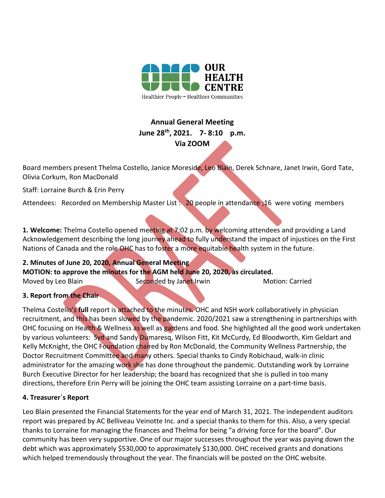

# **Annual General Meeting June 28th, 2021. 7- 8:10 p.m. Via ZOOM**

Board members present Thelma Costello, Janice Moreside, Leo Blain, Derek Schnare, Janet Irwin, Gord Tate, Olivia Corkum, Ron MacDonald

Staff: Lorraine Burch & Erin Perry

Attendees: Recorded on Membership Master List : 20 people in attendance : 16 were voting members

**1. Welcome:** Thelma Costello opened meeting at 7:02 p.m. by welcoming attendees and providing a Land Acknowledgement describing the long journey ahead to fully understand the impact of injustices on the First Nations of Canada and the role OHC has to foster a more equitable health system in the future.

**2. Minutes of June 20, 2020, Annual General Meeting MOTION: to approve the minutes for the AGM held June 20, 2020, as circulated.**  Moved by Leo Blain Seconded by Janet Irwin Motion: Carried

## **3. Report from the Chair**

Thelma Costello's **full** report is attached to the minutes. OHC and NSH work collaboratively in physician recruitment, and this has been slowed by the pandemic. 2020/2021 saw a strengthening in partnerships with OHC focusing on Health & Wellness as well as gardens and food. She highlighted all the good work undertaken by various volunteers: Syd and Sandy Dumaresq, Wilson Fitt, Kit McCurdy, Ed Bloodworth, Kim Geldart and Kelly McKnight, the OHC Foundation chaired by Ron McDonald, the Community Wellness Partnership, the Doctor Recruitment Committee and many others. Special thanks to Cindy Robichaud, walk-in clinic administrator for the amazing work she has done throughout the pandemic. Outstanding work by Lorraine Burch Executive Director for her leadership; the board has recognized that she is pulled in too many directions, therefore Erin Perry will be joining the OHC team assisting Lorraine on a part-time basis.

#### **4. Treasurer`s Report**

Leo Blain presented the Financial Statements for the year end of March 31, 2021. The independent auditors report was prepared by AC Belliveau Veinotte Inc. and a special thanks to them for this. Also, a very special thanks to Lorraine for managing the finances and Thelma for being "a driving force for the board". Our community has been very supportive. One of our major successes throughout the year was paying down the debt which was approximately \$530,000 to approximately \$130,000. OHC received grants and donations which helped tremendously throughout the year. The financials will be posted on the OHC website.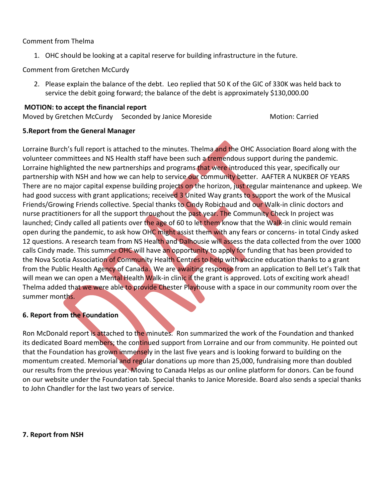#### Comment from Thelma

1. OHC should be looking at a capital reserve for building infrastructure in the future.

Comment from Gretchen McCurdy

2. Please explain the balance of the debt. Leo replied that 50 K of the GIC of 330K was held back to service the debit going forward; the balance of the debt is approximately \$130,000.00

# **MOTION: to accept the financial report**

# Moved by Gretchen McCurdy Seconded by Janice Moreside Motion: Carried

#### **5.Report from the General Manager**

Lorraine Burch's full report is attached to the minutes. Thelma and the OHC Association Board along with the volunteer committees and NS Health staff have been such a tremendous support during the pandemic. Lorraine highlighted the new partnerships and programs that were introduced this year, specifically our partnership with NSH and how we can help to service our community better. AAFTER A NUKBER OF YEARS There are no major capital expense building projects on the horizon, just regular maintenance and upkeep. We had good success with grant applications; received 3 United Way grants to support the work of the Musical Friends/Growing Friends collective. Special thanks to Cindy Robichaud and our Walk-in clinic doctors and nurse practitioners for all the support throughout the past year. The Community Check In project was launched; Cindy called all patients over the age of 60 to let them know that the Walk-in clinic would remain open during the pandemic, to ask how OHC might assist them with any fears or concerns- in total Cindy asked 12 questions. A research team from NS Health and Dalhousie will assess the data collected from the over 1000 calls Cindy made. This summer OHC will have an opportunity to apply for funding that has been provided to the Nova Scotia Association of Community Health Centres to help with vaccine education thanks to a grant from the Public Health Agency of Canada. We are awaiting response from an application to Bell Let's Talk that will mean we can open a Mental Health Walk-in clinic if the grant is approved. Lots of exciting work ahead! Thelma added that we were able to provide Chester Playhouse with a space in our community room over the summer months.

### **6. Report from the Foundation**

Ron McDonald report is attached to the minutes. Ron summarized the work of the Foundation and thanked its dedicated Board members; the continued support from Lorraine and our from community. He pointed out that the Foundation has grown immensely in the last five years and is looking forward to building on the momentum created. Memorial and regular donations up more than 25,000, fundraising more than doubled our results from the previous year. Moving to Canada Helps as our online platform for donors. Can be found on our website under the Foundation tab. Special thanks to Janice Moreside. Board also sends a special thanks to John Chandler for the last two years of service.

**7. Report from NSH**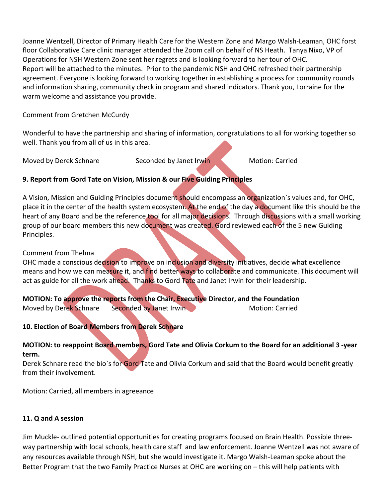Joanne Wentzell, Director of Primary Health Care for the Western Zone and Margo Walsh-Leaman, OHC forst floor Collaborative Care clinic manager attended the Zoom call on behalf of NS Heath. Tanya Nixo, VP of Operations for NSH Western Zone sent her regrets and is looking forward to her tour of OHC. Report will be attached to the minutes. Prior to the pandemic NSH and OHC refreshed their partnership agreement. Everyone is looking forward to working together in establishing a process for community rounds and information sharing, community check in program and shared indicators. Thank you, Lorraine for the warm welcome and assistance you provide.

#### Comment from Gretchen McCurdy

Wonderful to have the partnership and sharing of information, congratulations to all for working together so well. Thank you from all of us in this area.

Moved by Derek Schnare Seconded by Janet Irwin Motion: Carried

### **9. Report from Gord Tate on Vision, Mission & our Five Guiding Principles**

A Vision, Mission and Guiding Principles document should encompass an organization`s values and, for OHC, place it in the center of the health system ecosystem. At the end of the day a document like this should be the heart of any Board and be the reference tool for all major decisions. Through discussions with a small working group of our board members this new document was created. Gord reviewed each of the 5 new Guiding Principles.

#### Comment from Thelma

OHC made a conscious decision to improve on inclusion and diversity initiatives, decide what excellence means and how we can measure it, and find better ways to collaborate and communicate. This document will act as guide for all the work ahead. Thanks to Gord Tate and Janet Irwin for their leadership.

**MOTION: To approve the reports from the Chair, Executive Director, and the Foundation** Moved by Derek Schnare Seconded by Janet Irwin Motion: Carried

#### **10. Election of Board Members from Derek Schnare**

#### **MOTION: to reappoint Board members, Gord Tate and Olivia Corkum to the Board for an additional 3 -year term.**

Derek Schnare read the bio's for Gord Tate and Olivia Corkum and said that the Board would benefit greatly from their involvement.

Motion: Carried, all members in agreeance

#### **11. Q and A session**

Jim Muckle- outlined potential opportunities for creating programs focused on Brain Health. Possible threeway partnership with local schools, health care staff and law enforcement. Joanne Wentzell was not aware of any resources available through NSH, but she would investigate it. Margo Walsh-Leaman spoke about the Better Program that the two Family Practice Nurses at OHC are working on – this will help patients with